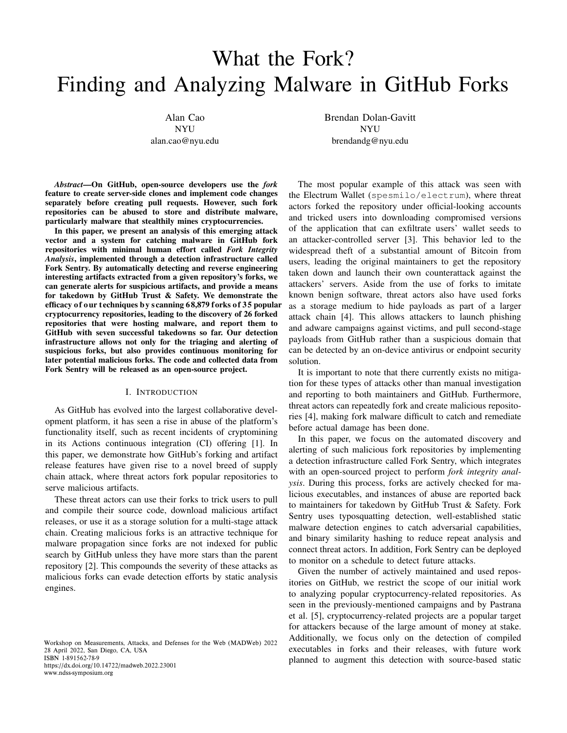# What the Fork? Finding and Analyzing Malware in GitHub Forks

Alan Cao NYU alan.cao@nyu.edu Brendan Dolan-Gavitt NYU brendandg@nyu.edu

*Abstract*—On GitHub, open-source developers use the *fork* feature to create server-side clones and implement code changes separately before creating pull requests. However, such fork repositories can be abused to store and distribute malware, particularly malware that stealthily mines cryptocurrencies.

In this paper, we present an analysis of this emerging attack vector and a system for catching malware in GitHub fork repositories with minimal human effort called *Fork Integrity Analysis*, implemented through a detection infrastructure called Fork Sentry. By automatically detecting and reverse engineering interesting artifacts extracted from a given repository's forks, we can generate alerts for suspicious artifacts, and provide a means for takedown by GitHub Trust & Safety. We demonstrate the efficacy of our techniques by scanning 68,879 forks of 35 popular cryptocurrency repositories, leading to the discovery of 26 forked repositories that were hosting malware, and report them to GitHub with seven successful takedowns so far. Our detection infrastructure allows not only for the triaging and alerting of suspicious forks, but also provides continuous monitoring for later potential malicious forks. The code and collected data from Fork Sentry will be released as an open-source project.

## I. INTRODUCTION

<span id="page-0-0"></span>As GitHub has evolved into the largest collaborative development platform, it has seen a rise in abuse of the platform's functionality itself, such as recent incidents of cryptomining in its Actions continuous integration (CI) offering [\[1\].](#page-6-0) In this paper, we demonstrate how GitHub's forking and artifact release features have given rise to a novel breed of supply chain attack, where threat actors fork popular repositories to serve malicious artifacts.

These threat actors can use their forks to trick users to pull and compile their source code, download malicious artifact releases, or use it as a storage solution for a multi-stage attack chain. Creating malicious forks is an attractive technique for malware propagation since forks are not indexed for public search by GitHub unless they have more stars than the parent repository [\[2\].](#page-6-1) This compounds the severity of these attacks as malicious forks can evade detection efforts by static analysis engines.

Workshop on Measurements, Attacks, and Defenses for the Web (MADWeb) 2022 28 April 2022, San Diego, CA, USA ISBN 1-891562-78-9 https://dx.doi.org/10.14722/madweb.2022.23001

www.ndss-symposium.org

The most popular example of this attack was seen with the Electrum Wallet ([spesmilo/electrum](https://github.com/spesmilo/electrum)), where threat actors forked the repository under official-looking accounts and tricked users into downloading compromised versions of the application that can exfiltrate users' wallet seeds to an attacker-controlled server [\[3\]](#page-6-2). This behavior led to the widespread theft of a substantial amount of Bitcoin from users, leading the original maintainers to get the repository taken down and launch their own counterattack against the attackers' servers. Aside from the use of forks to imitate known benign software, threat actors also have used forks as a storage medium to hide payloads as part of a larger attack chain [\[4\]](#page-6-3). This allows attackers to launch phishing and adware campaigns against victims, and pull second-stage payloads from GitHub rather than a suspicious domain that can be detected by an on-device antivirus or endpoint security solution.

It is important to note that there currently exists no mitigation for these types of attacks other than manual investigation and reporting to both maintainers and GitHub. Furthermore, threat actors can repeatedly fork and create malicious repositories [\[4\]](#page-6-3), making fork malware difficult to catch and remediate before actual damage has been done.

In this paper, we focus on the automated discovery and alerting of such malicious fork repositories by implementing a detection infrastructure called Fork Sentry, which integrates with an open-sourced project to perform *fork integrity analysis*. During this process, forks are actively checked for malicious executables, and instances of abuse are reported back to maintainers for takedown by GitHub Trust & Safety. Fork Sentry uses typosquatting detection, well-established static malware detection engines to catch adversarial capabilities, and binary similarity hashing to reduce repeat analysis and connect threat actors. In addition, Fork Sentry can be deployed to monitor on a schedule to detect future attacks.

Given the number of actively maintained and used repositories on GitHub, we restrict the scope of our initial work to analyzing popular cryptocurrency-related repositories. As seen in the previously-mentioned campaigns and by Pastrana et al. [\[5\]](#page-6-4), cryptocurrency-related projects are a popular target for attackers because of the large amount of money at stake. Additionally, we focus only on the detection of compiled executables in forks and their releases, with future work planned to augment this detection with source-based static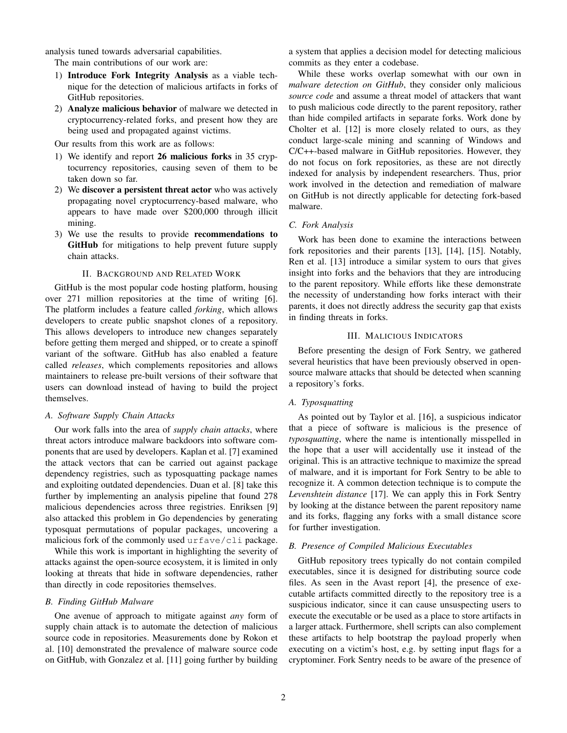analysis tuned towards adversarial capabilities.

The main contributions of our work are:

- 1) Introduce Fork Integrity Analysis as a viable technique for the detection of malicious artifacts in forks of GitHub repositories.
- 2) Analyze malicious behavior of malware we detected in cryptocurrency-related forks, and present how they are being used and propagated against victims.

Our results from this work are as follows:

- 1) We identify and report 26 malicious forks in 35 cryptocurrency repositories, causing seven of them to be taken down so far.
- 2) We discover a persistent threat actor who was actively propagating novel cryptocurrency-based malware, who appears to have made over \$200,000 through illicit mining.
- 3) We use the results to provide recommendations to GitHub for mitigations to help prevent future supply chain attacks.

# II. BACKGROUND AND RELATED WORK

GitHub is the most popular code hosting platform, housing over 271 million repositories at the time of writing [\[6\]](#page-6-5). The platform includes a feature called *forking*, which allows developers to create public snapshot clones of a repository. This allows developers to introduce new changes separately before getting them merged and shipped, or to create a spinoff variant of the software. GitHub has also enabled a feature called *releases*, which complements repositories and allows maintainers to release pre-built versions of their software that users can download instead of having to build the project themselves.

# *A. Software Supply Chain Attacks*

Our work falls into the area of *supply chain attacks*, where threat actors introduce malware backdoors into software components that are used by developers. Kaplan et al. [\[7\]](#page-6-6) examined the attack vectors that can be carried out against package dependency registries, such as typosquatting package names and exploiting outdated dependencies. Duan et al. [\[8\]](#page-6-7) take this further by implementing an analysis pipeline that found 278 malicious dependencies across three registries. Enriksen [\[9\]](#page-6-8) also attacked this problem in Go dependencies by generating typosquat permutations of popular packages, uncovering a malicious fork of the commonly used urfave/cli package.

While this work is important in highlighting the severity of attacks against the open-source ecosystem, it is limited in only looking at threats that hide in software dependencies, rather than directly in code repositories themselves.

# *B. Finding GitHub Malware*

One avenue of approach to mitigate against *any* form of supply chain attack is to automate the detection of malicious source code in repositories. Measurements done by Rokon et al. [\[10\]](#page-6-9) demonstrated the prevalence of malware source code on GitHub, with Gonzalez et al. [\[11\]](#page-6-10) going further by building a system that applies a decision model for detecting malicious commits as they enter a codebase.

While these works overlap somewhat with our own in *malware detection on GitHub*, they consider only malicious *source code* and assume a threat model of attackers that want to push malicious code directly to the parent repository, rather than hide compiled artifacts in separate forks. Work done by Cholter et al. [\[12\]](#page-6-11) is more closely related to ours, as they conduct large-scale mining and scanning of Windows and C/C++-based malware in GitHub repositories. However, they do not focus on fork repositories, as these are not directly indexed for analysis by independent researchers. Thus, prior work involved in the detection and remediation of malware on GitHub is not directly applicable for detecting fork-based malware.

## *C. Fork Analysis*

Work has been done to examine the interactions between fork repositories and their parents [\[13\]](#page-6-12), [\[14\]](#page-7-0), [\[15\]](#page-7-1). Notably, Ren et al. [\[13\]](#page-6-12) introduce a similar system to ours that gives insight into forks and the behaviors that they are introducing to the parent repository. While efforts like these demonstrate the necessity of understanding how forks interact with their parents, it does not directly address the security gap that exists in finding threats in forks.

# III. MALICIOUS INDICATORS

Before presenting the design of Fork Sentry, we gathered several heuristics that have been previously observed in opensource malware attacks that should be detected when scanning a repository's forks.

## *A. Typosquatting*

As pointed out by Taylor et al. [\[16\]](#page-7-2), a suspicious indicator that a piece of software is malicious is the presence of *typosquatting*, where the name is intentionally misspelled in the hope that a user will accidentally use it instead of the original. This is an attractive technique to maximize the spread of malware, and it is important for Fork Sentry to be able to recognize it. A common detection technique is to compute the *Levenshtein distance* [\[17\]](#page-7-3). We can apply this in Fork Sentry by looking at the distance between the parent repository name and its forks, flagging any forks with a small distance score for further investigation.

# *B. Presence of Compiled Malicious Executables*

GitHub repository trees typically do not contain compiled executables, since it is designed for distributing source code files. As seen in the Avast report [\[4\]](#page-6-3), the presence of executable artifacts committed directly to the repository tree is a suspicious indicator, since it can cause unsuspecting users to execute the executable or be used as a place to store artifacts in a larger attack. Furthermore, shell scripts can also complement these artifacts to help bootstrap the payload properly when executing on a victim's host, e.g. by setting input flags for a cryptominer. Fork Sentry needs to be aware of the presence of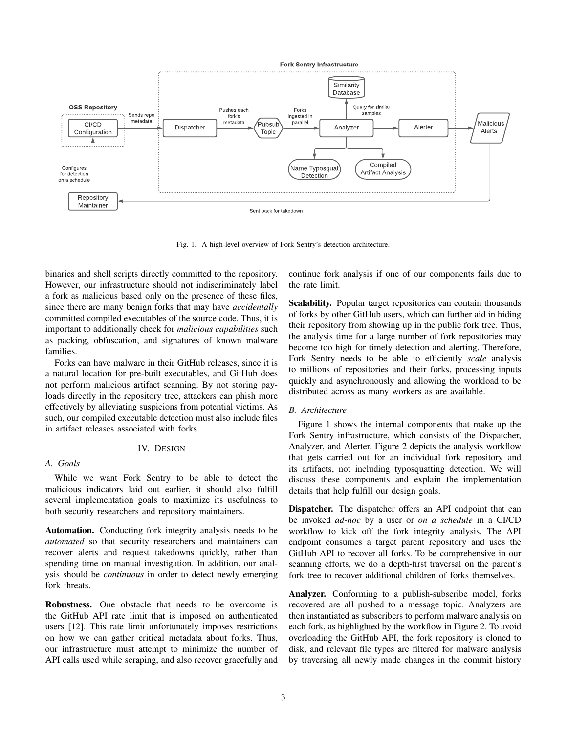

<span id="page-2-0"></span>Fig. 1. A high-level overview of Fork Sentry's detection architecture.

binaries and shell scripts directly committed to the repository. However, our infrastructure should not indiscriminately label a fork as malicious based only on the presence of these files, since there are many benign forks that may have *accidentally* committed compiled executables of the source code. Thus, it is important to additionally check for *malicious capabilities* such as packing, obfuscation, and signatures of known malware families.

Forks can have malware in their GitHub releases, since it is a natural location for pre-built executables, and GitHub does not perform malicious artifact scanning. By not storing payloads directly in the repository tree, attackers can phish more effectively by alleviating suspicions from potential victims. As such, our compiled executable detection must also include files in artifact releases associated with forks.

# IV. DESIGN

# *A. Goals*

While we want Fork Sentry to be able to detect the malicious indicators laid out earlier, it should also fulfill several implementation goals to maximize its usefulness to both security researchers and repository maintainers.

Automation. Conducting fork integrity analysis needs to be *automated* so that security researchers and maintainers can recover alerts and request takedowns quickly, rather than spending time on manual investigation. In addition, our analysis should be *continuous* in order to detect newly emerging fork threats.

Robustness. One obstacle that needs to be overcome is the GitHub API rate limit that is imposed on authenticated users [\[12\]](#page-6-11). This rate limit unfortunately imposes restrictions on how we can gather critical metadata about forks. Thus, our infrastructure must attempt to minimize the number of API calls used while scraping, and also recover gracefully and continue fork analysis if one of our components fails due to the rate limit.

Scalability. Popular target repositories can contain thousands of forks by other GitHub users, which can further aid in hiding their repository from showing up in the public fork tree. Thus, the analysis time for a large number of fork repositories may become too high for timely detection and alerting. Therefore, Fork Sentry needs to be able to efficiently *scale* analysis to millions of repositories and their forks, processing inputs quickly and asynchronously and allowing the workload to be distributed across as many workers as are available.

# <span id="page-2-1"></span>*B. Architecture*

Figure [1](#page-2-0) shows the internal components that make up the Fork Sentry infrastructure, which consists of the Dispatcher, Analyzer, and Alerter. Figure [2](#page-3-0) depicts the analysis workflow that gets carried out for an individual fork repository and its artifacts, not including typosquatting detection. We will discuss these components and explain the implementation details that help fulfill our design goals.

Dispatcher. The dispatcher offers an API endpoint that can be invoked *ad-hoc* by a user or *on a schedule* in a CI/CD workflow to kick off the fork integrity analysis. The API endpoint consumes a target parent repository and uses the GitHub API to recover all forks. To be comprehensive in our scanning efforts, we do a depth-first traversal on the parent's fork tree to recover additional children of forks themselves.

Analyzer. Conforming to a publish-subscribe model, forks recovered are all pushed to a message topic. Analyzers are then instantiated as subscribers to perform malware analysis on each fork, as highlighted by the workflow in Figure [2.](#page-3-0) To avoid overloading the GitHub API, the fork repository is cloned to disk, and relevant file types are filtered for malware analysis by traversing all newly made changes in the commit history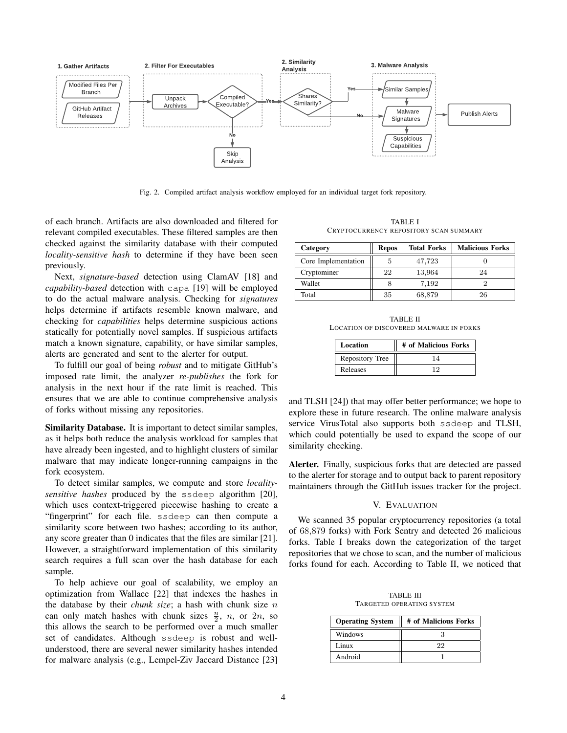

<span id="page-3-0"></span>Fig. 2. Compiled artifact analysis workflow employed for an individual target fork repository.

of each branch. Artifacts are also downloaded and filtered for relevant compiled executables. These filtered samples are then checked against the similarity database with their computed *locality-sensitive hash* to determine if they have been seen previously.

Next, *signature-based* detection using ClamAV [\[18\]](#page-7-4) and *capability-based* detection with capa [\[19\]](#page-7-5) will be employed to do the actual malware analysis. Checking for *signatures* helps determine if artifacts resemble known malware, and checking for *capabilities* helps determine suspicious actions statically for potentially novel samples. If suspicious artifacts match a known signature, capability, or have similar samples, alerts are generated and sent to the alerter for output.

To fulfill our goal of being *robust* and to mitigate GitHub's imposed rate limit, the analyzer *re-publishes* the fork for analysis in the next hour if the rate limit is reached. This ensures that we are able to continue comprehensive analysis of forks without missing any repositories.

Similarity Database. It is important to detect similar samples, as it helps both reduce the analysis workload for samples that have already been ingested, and to highlight clusters of similar malware that may indicate longer-running campaigns in the fork ecosystem.

To detect similar samples, we compute and store *localitysensitive hashes* produced by the ssdeep algorithm [\[20\]](#page-7-6), which uses context-triggered piecewise hashing to create a "fingerprint" for each file. ssdeep can then compute a similarity score between two hashes; according to its author, any score greater than 0 indicates that the files are similar [\[21\]](#page-7-7). However, a straightforward implementation of this similarity search requires a full scan over the hash database for each sample.

To help achieve our goal of scalability, we employ an optimization from Wallace [\[22\]](#page-7-8) that indexes the hashes in the database by their *chunk size*; a hash with chunk size n can only match hashes with chunk sizes  $\frac{n}{2}$ , *n*, or 2*n*, so this allows the search to be performed over a much smaller set of candidates. Although ssdeep is robust and wellunderstood, there are several newer similarity hashes intended for malware analysis (e.g., Lempel-Ziv Jaccard Distance [\[23\]](#page-7-9)

TABLE I CRYPTOCURRENCY REPOSITORY SCAN SUMMARY

<span id="page-3-1"></span>

| Category            | <b>Repos</b> | <b>Total Forks</b> | <b>Malicious Forks</b> |
|---------------------|--------------|--------------------|------------------------|
| Core Implementation | ð            | 47,723             |                        |
| Cryptominer         | 22           | 13,964             | 24                     |
| Wallet              |              | 7,192              |                        |
| Total               | 35           | 68,879             | 26                     |

<span id="page-3-2"></span>TABLE II LOCATION OF DISCOVERED MALWARE IN FORKS

| Location        | # of Malicious Forks |
|-----------------|----------------------|
| Repository Tree |                      |
| Releases        |                      |

and TLSH [\[24\]](#page-7-10)) that may offer better performance; we hope to explore these in future research. The online malware analysis service VirusTotal also supports both ssdeep and TLSH, which could potentially be used to expand the scope of our similarity checking.

Alerter. Finally, suspicious forks that are detected are passed to the alerter for storage and to output back to parent repository maintainers through the GitHub issues tracker for the project.

#### V. EVALUATION

We scanned 35 popular cryptocurrency repositories (a total of 68,879 forks) with Fork Sentry and detected 26 malicious forks. Table [I](#page-3-1) breaks down the categorization of the target repositories that we chose to scan, and the number of malicious forks found for each. According to Table [II,](#page-3-2) we noticed that

TABLE III TARGETED OPERATING SYSTEM

<span id="page-3-3"></span>

| <b>Operating System</b> | # of Malicious Forks |
|-------------------------|----------------------|
| Windows                 |                      |
| Linux                   | 22                   |
| Android                 |                      |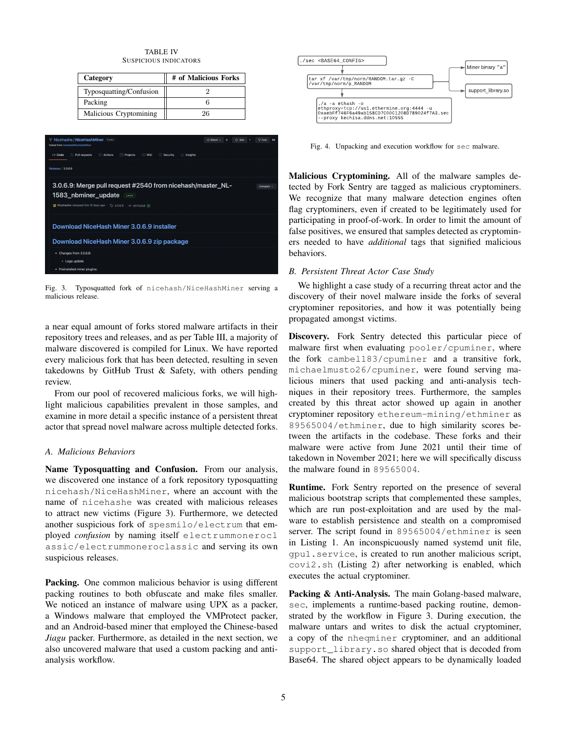#### TABLE IV SUSPICIOUS INDICATORS

| Category                | # of Malicious Forks |  |
|-------------------------|----------------------|--|
| Typosquatting/Confusion |                      |  |
| Packing                 |                      |  |
| Malicious Cryptomining  | 96                   |  |



Fig. 3. Typosquatted fork of nicehash/NiceHashMiner serving a malicious release.

<span id="page-4-0"></span>a near equal amount of forks stored malware artifacts in their repository trees and releases, and as per Table [III,](#page-3-3) a majority of malware discovered is compiled for Linux. We have reported every malicious fork that has been detected, resulting in seven takedowns by GitHub Trust & Safety, with others pending review.

From our pool of recovered malicious forks, we will highlight malicious capabilities prevalent in those samples, and examine in more detail a specific instance of a persistent threat actor that spread novel malware across multiple detected forks.

# *A. Malicious Behaviors*

Name Typosquatting and Confusion. From our analysis, we discovered one instance of a fork repository typosquatting nicehash/NiceHashMiner, where an account with the name of nicehashe was created with malicious releases to attract new victims (Figure [3\)](#page-4-0). Furthermore, we detected another suspicious fork of spesmilo/electrum that employed *confusion* by naming itself [electrummonerocl](electrummoneroclassic/electrummoneroclassic) [assic/electrummoneroclassic](electrummoneroclassic/electrummoneroclassic) and serving its own suspicious releases.

Packing. One common malicious behavior is using different packing routines to both obfuscate and make files smaller. We noticed an instance of malware using UPX as a packer, a Windows malware that employed the VMProtect packer, and an Android-based miner that employed the Chinese-based *Jiagu* packer. Furthermore, as detailed in the next section, we also uncovered malware that used a custom packing and antianalysis workflow.



Fig. 4. Unpacking and execution workflow for sec malware.

Malicious Cryptomining. All of the malware samples detected by Fork Sentry are tagged as malicious cryptominers. We recognize that many malware detection engines often flag cryptominers, even if created to be legitimately used for participating in proof-of-work. In order to limit the amount of false positives, we ensured that samples detected as cryptominers needed to have *additional* tags that signified malicious behaviors.

# *B. Persistent Threat Actor Case Study*

We highlight a case study of a recurring threat actor and the discovery of their novel malware inside the forks of several cryptominer repositories, and how it was potentially being propagated amongst victims.

Discovery. Fork Sentry detected this particular piece of malware first when evaluating pooler/cpuminer, where the fork cambel183/cpuminer and a transitive fork, michaelmusto26/cpuminer, were found serving malicious miners that used packing and anti-analysis techniques in their repository trees. Furthermore, the samples created by this threat actor showed up again in another cryptominer repository ethereum-mining/ethminer as 89565004/ethminer, due to high similarity scores between the artifacts in the codebase. These forks and their malware were active from June 2021 until their time of takedown in November 2021; here we will specifically discuss the malware found in 89565004.

Runtime. Fork Sentry reported on the presence of several malicious bootstrap scripts that complemented these samples, which are run post-exploitation and are used by the malware to establish persistence and stealth on a compromised server. The script found in 89565004/ethminer is seen in Listing [1.](#page-5-0) An inconspicuously named systemd unit file, gpu1.service, is created to run another malicious script, covi2.sh (Listing [2\)](#page-5-1) after networking is enabled, which executes the actual cryptominer.

Packing & Anti-Analysis. The main Golang-based malware, sec, implements a runtime-based packing routine, demonstrated by the workflow in Figure 3. During execution, the malware untars and writes to disk the actual cryptominer, a copy of the nheqminer cryptominer, and an additional support\_library.so shared object that is decoded from Base64. The shared object appears to be dynamically loaded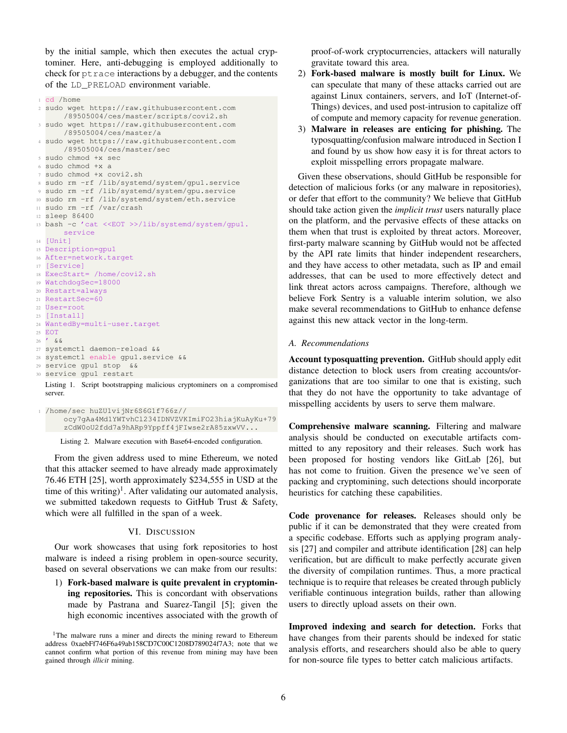by the initial sample, which then executes the actual cryptominer. Here, anti-debugging is employed additionally to check for ptrace interactions by a debugger, and the contents of the LD\_PRELOAD environment variable.

```
1 cd /home
2 sudo wget https://raw.githubusercontent.com
      /89505004/ces/master/scripts/covi2.sh
3 sudo wget https://raw.githubusercontent.com
      /89505004/ces/master/a
4 sudo wget https://raw.githubusercontent.com
      /89505004/ces/master/sec
5 sudo chmod +x sec
6 sudo chmod +x a
7 sudo chmod +x covi2.sh
8 sudo rm -rf /lib/systemd/system/gpu1.service
9 sudo rm -rf /lib/systemd/system/gpu.service
10 sudo rm -rf /lib/systemd/system/eth.service
11 sudo rm -rf /var/crash
12 sleep 86400
13 bash -c 'cat <<EOT >>/lib/systemd/system/gpu1.
      service
14 [Unit]
15 Description=gpu1
16 After=network.target
17 [Service]
18 ExecStart= /home/covi2.sh
19 WatchdogSec=18000
20 Restart=always
21 RestartSec=60
22 User=root
23 [Install]
24 WantedBy=multi-user.target
25 EOT
26 / & &
27 systemctl daemon-reload &&
28 systemctl enable gpu1.service &&
29 service gpu1 stop &&
30 service gpu1 restart
```
Listing 1. Script bootstrapping malicious cryptominers on a compromised server.

```
1 /home/sec huZU1vijNr6S6G1f766z//
     ocy7gAa4Md1YWTvhCl234IDNVZVKImiFO23hiajKuAyKu+79
      zCdW0oU2fdd7a9hARp9Yppff4jFIwse2rA85zxwVV...
```
Listing 2. Malware execution with Base64-encoded configuration.

From the given address used to mine Ethereum, we noted that this attacker seemed to have already made approximately 76.46 ETH [\[25\]](#page-7-11), worth approximately \$234,555 in USD at the time of this writing)<sup>[1](#page-5-2)</sup>. After validating our automated analysis, we submitted takedown requests to GitHub Trust & Safety, which were all fulfilled in the span of a week.

#### VI. DISCUSSION

Our work showcases that using fork repositories to host malware is indeed a rising problem in open-source security, based on several observations we can make from our results:

1) Fork-based malware is quite prevalent in cryptomining repositories. This is concordant with observations made by Pastrana and Suarez-Tangil [\[5\]](#page-6-4); given the high economic incentives associated with the growth of proof-of-work cryptocurrencies, attackers will naturally gravitate toward this area.

- 2) Fork-based malware is mostly built for Linux. We can speculate that many of these attacks carried out are against Linux containers, servers, and IoT (Internet-of-Things) devices, and used post-intrusion to capitalize off of compute and memory capacity for revenue generation.
- 3) Malware in releases are enticing for phishing. The typosquatting/confusion malware introduced in Section [I](#page-0-0) and found by us show how easy it is for threat actors to exploit misspelling errors propagate malware.

Given these observations, should GitHub be responsible for detection of malicious forks (or any malware in repositories), or defer that effort to the community? We believe that GitHub should take action given the *implicit trust* users naturally place on the platform, and the pervasive effects of these attacks on them when that trust is exploited by threat actors. Moreover, first-party malware scanning by GitHub would not be affected by the API rate limits that hinder independent researchers, and they have access to other metadata, such as IP and email addresses, that can be used to more effectively detect and link threat actors across campaigns. Therefore, although we believe Fork Sentry is a valuable interim solution, we also make several recommendations to GitHub to enhance defense against this new attack vector in the long-term.

### *A. Recommendations*

Account typosquatting prevention. GitHub should apply edit distance detection to block users from creating accounts/organizations that are too similar to one that is existing, such that they do not have the opportunity to take advantage of misspelling accidents by users to serve them malware.

Comprehensive malware scanning. Filtering and malware analysis should be conducted on executable artifacts committed to any repository and their releases. Such work has been proposed for hosting vendors like GitLab [\[26\]](#page-7-12), but has not come to fruition. Given the presence we've seen of packing and cryptomining, such detections should incorporate heuristics for catching these capabilities.

Code provenance for releases. Releases should only be public if it can be demonstrated that they were created from a specific codebase. Efforts such as applying program analysis [\[27\]](#page-7-13) and compiler and attribute identification [\[28\]](#page-7-14) can help verification, but are difficult to make perfectly accurate given the diversity of compilation runtimes. Thus, a more practical technique is to require that releases be created through publicly verifiable continuous integration builds, rather than allowing users to directly upload assets on their own.

Improved indexing and search for detection. Forks that have changes from their parents should be indexed for static analysis efforts, and researchers should also be able to query for non-source file types to better catch malicious artifacts.

<span id="page-5-2"></span><sup>&</sup>lt;sup>1</sup>The malware runs a miner and directs the mining reward to Ethereum address 0xaebFf746F6a49ab158CD7C00C1208D789024f7A3; note that we cannot confirm what portion of this revenue from mining may have been gained through *illicit* mining.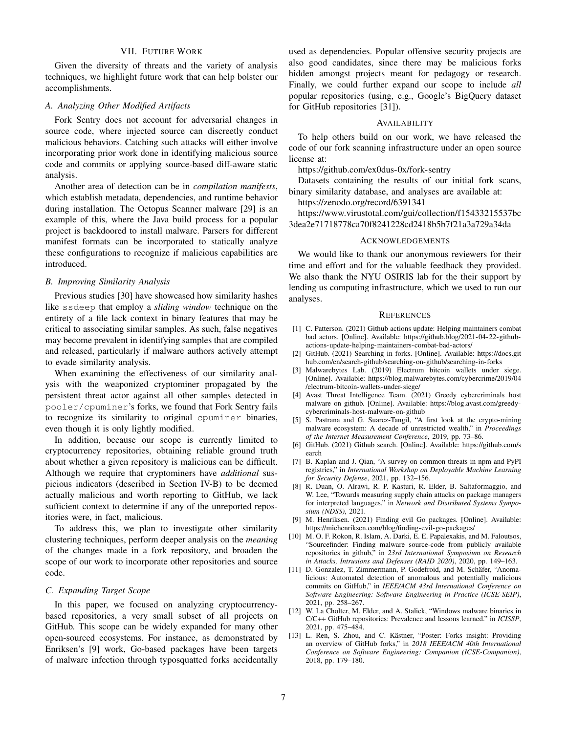# VII. FUTURE WORK

Given the diversity of threats and the variety of analysis techniques, we highlight future work that can help bolster our accomplishments.

# *A. Analyzing Other Modified Artifacts*

Fork Sentry does not account for adversarial changes in source code, where injected source can discreetly conduct malicious behaviors. Catching such attacks will either involve incorporating prior work done in identifying malicious source code and commits or applying source-based diff-aware static analysis.

Another area of detection can be in *compilation manifests*, which establish metadata, dependencies, and runtime behavior during installation. The Octopus Scanner malware [\[29\]](#page-7-15) is an example of this, where the Java build process for a popular project is backdoored to install malware. Parsers for different manifest formats can be incorporated to statically analyze these configurations to recognize if malicious capabilities are introduced.

# *B. Improving Similarity Analysis*

Previous studies [\[30\]](#page-7-16) have showcased how similarity hashes like ssdeep that employ a *sliding window* technique on the entirety of a file lack context in binary features that may be critical to associating similar samples. As such, false negatives may become prevalent in identifying samples that are compiled and released, particularly if malware authors actively attempt to evade similarity analysis.

When examining the effectiveness of our similarity analysis with the weaponized cryptominer propagated by the persistent threat actor against all other samples detected in pooler/cpuminer's forks, we found that Fork Sentry fails to recognize its similarity to original cpuminer binaries, even though it is only lightly modified.

In addition, because our scope is currently limited to cryptocurrency repositories, obtaining reliable ground truth about whether a given repository is malicious can be difficult. Although we require that cryptominers have *additional* suspicious indicators (described in Section [IV-B\)](#page-2-1) to be deemed actually malicious and worth reporting to GitHub, we lack sufficient context to determine if any of the unreported repositories were, in fact, malicious.

To address this, we plan to investigate other similarity clustering techniques, perform deeper analysis on the *meaning* of the changes made in a fork repository, and broaden the scope of our work to incorporate other repositories and source code.

# *C. Expanding Target Scope*

In this paper, we focused on analyzing cryptocurrencybased repositories, a very small subset of all projects on GitHub. This scope can be widely expanded for many other open-sourced ecosystems. For instance, as demonstrated by Enriksen's [\[9\]](#page-6-8) work, Go-based packages have been targets of malware infection through typosquatted forks accidentally used as dependencies. Popular offensive security projects are also good candidates, since there may be malicious forks hidden amongst projects meant for pedagogy or research. Finally, we could further expand our scope to include *all* popular repositories (using, e.g., Google's BigQuery dataset for GitHub repositories [\[31\]](#page-7-17)).

# AVAILABILITY

To help others build on our work, we have released the code of our fork scanning infrastructure under an open source license at:

<https://github.com/ex0dus-0x/fork-sentry>

Datasets containing the results of our initial fork scans, binary similarity database, and analyses are available at:

<https://zenodo.org/record/6391341>

[https://www.virustotal.com/gui/collection/f15433215537bc](https://www.virustotal.com/gui/collection/f15433215537bc3dea2e71718778ca70f8241228cd2418b5b7f21a3a729a34da) [3dea2e71718778ca70f8241228cd2418b5b7f21a3a729a34da](https://www.virustotal.com/gui/collection/f15433215537bc3dea2e71718778ca70f8241228cd2418b5b7f21a3a729a34da)

#### ACKNOWLEDGEMENTS

We would like to thank our anonymous reviewers for their time and effort and for the valuable feedback they provided. We also thank the NYU OSIRIS lab for the their support by lending us computing infrastructure, which we used to run our analyses.

#### **REFERENCES**

- <span id="page-6-0"></span>[1] C. Patterson. (2021) Github actions update: Helping maintainers combat bad actors. [Online]. Available: [https://github.blog/2021-04-22-github](https://github.blog/2021-04-22-github-actions-update-helping-maintainers-combat-bad-actors/)[actions-update-helping-maintainers-combat-bad-actors/](https://github.blog/2021-04-22-github-actions-update-helping-maintainers-combat-bad-actors/)
- <span id="page-6-1"></span>[2] GitHub. (2021) Searching in forks. [Online]. Available: [https://docs.git](https://docs.github.com/en/search-github/searching-on-github/searching-in-forks) [hub.com/en/search-github/searching-on-github/searching-in-forks](https://docs.github.com/en/search-github/searching-on-github/searching-in-forks)
- <span id="page-6-2"></span>[3] Malwarebytes Lab. (2019) Electrum bitcoin wallets under siege. [Online]. Available: [https://blog.malwarebytes.com/cybercrime/2019/04](https://blog.malwarebytes.com/cybercrime/2019/04/electrum-bitcoin-wallets-under-siege/) [/electrum-bitcoin-wallets-under-siege/](https://blog.malwarebytes.com/cybercrime/2019/04/electrum-bitcoin-wallets-under-siege/)
- <span id="page-6-3"></span>[4] Avast Threat Intelligence Team. (2021) Greedy cybercriminals host malware on github. [Online]. Available: [https://blog.avast.com/greedy](https://blog.avast.com/greedy-cybercriminals-host-malware-on-github)[cybercriminals-host-malware-on-github](https://blog.avast.com/greedy-cybercriminals-host-malware-on-github)
- <span id="page-6-4"></span>[5] S. Pastrana and G. Suarez-Tangil, "A first look at the crypto-mining malware ecosystem: A decade of unrestricted wealth," in *Proceedings of the Internet Measurement Conference*, 2019, pp. 73–86.
- <span id="page-6-5"></span>[6] GitHub. (2021) Github search. [Online]. Available: [https://github.com/s](https://github.com/search) [earch](https://github.com/search)
- <span id="page-6-6"></span>[7] B. Kaplan and J. Qian, "A survey on common threats in npm and PyPI registries," in *International Workshop on Deployable Machine Learning for Security Defense*, 2021, pp. 132–156.
- <span id="page-6-7"></span>[8] R. Duan, O. Alrawi, R. P. Kasturi, R. Elder, B. Saltaformaggio, and W. Lee, "Towards measuring supply chain attacks on package managers for interpreted languages," in *Network and Distributed Systems Symposium (NDSS)*, 2021.
- <span id="page-6-8"></span>[9] M. Henriksen. (2021) Finding evil Go packages. [Online]. Available: <https://michenriksen.com/blog/finding-evil-go-packages/>
- <span id="page-6-9"></span>[10] M. O. F. Rokon, R. Islam, A. Darki, E. E. Papalexakis, and M. Faloutsos, "Sourcefinder: Finding malware source-code from publicly available repositories in github," in *23rd International Symposium on Research in Attacks, Intrusions and Defenses (RAID 2020)*, 2020, pp. 149–163.
- <span id="page-6-10"></span>[11] D. Gonzalez, T. Zimmermann, P. Godefroid, and M. Schäfer, "Anomalicious: Automated detection of anomalous and potentially malicious commits on GitHub," in *IEEE/ACM 43rd International Conference on Software Engineering: Software Engineering in Practice (ICSE-SEIP)*, 2021, pp. 258–267.
- <span id="page-6-11"></span>[12] W. La Cholter, M. Elder, and A. Stalick, "Windows malware binaries in C/C++ GitHub repositories: Prevalence and lessons learned." in *ICISSP*, 2021, pp. 475–484.
- <span id="page-6-12"></span>[13] L. Ren, S. Zhou, and C. Kästner, "Poster: Forks insight: Providing an overview of GitHub forks," in *2018 IEEE/ACM 40th International Conference on Software Engineering: Companion (ICSE-Companion)*, 2018, pp. 179–180.